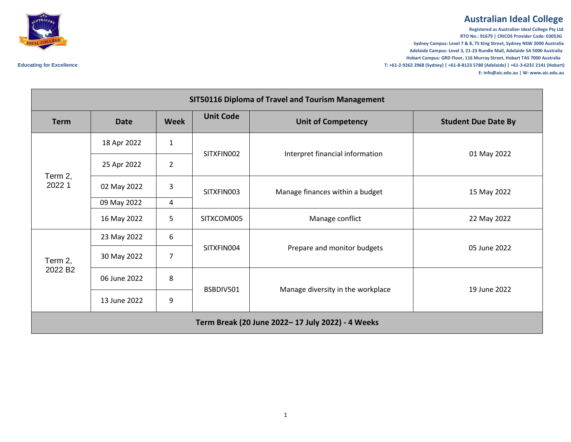## **Australian Ideal College**

**Registered as Australian Ideal College Pty Ltd RTO No.: 91679 | CRICOS Provider Code: 03053G Sydney Campus: Level 7 & 8, 75 King Street, Sydney NSW 2000 Australia Adelaide Campus: Level 3, 21-23 Rundle Mall, Adelaide SA 5000 Australia Hobart Campus: GRD Floor, 116 Murray Street, Hobart TAS 7000 Australia Educating for Excellence T: +61-2-9262 2968 (Sydney) | +61-8-8123 5780 (Adelaide) | +61-3-6231 2141 (Hobart) E: info@aic.edu.au | W: www.aic.edu.au**

| SIT50116 Diploma of Travel and Tourism Management |              |                |                  |                                   |                            |  |  |  |  |
|---------------------------------------------------|--------------|----------------|------------------|-----------------------------------|----------------------------|--|--|--|--|
| <b>Term</b>                                       | <b>Date</b>  | <b>Week</b>    | <b>Unit Code</b> | <b>Unit of Competency</b>         | <b>Student Due Date By</b> |  |  |  |  |
| Term 2,<br>2022 1                                 | 18 Apr 2022  | $\mathbf{1}$   | SITXFIN002       | Interpret financial information   | 01 May 2022                |  |  |  |  |
|                                                   | 25 Apr 2022  | $\overline{2}$ |                  |                                   |                            |  |  |  |  |
|                                                   | 02 May 2022  | $\mathsf 3$    | SITXFIN003       | Manage finances within a budget   | 15 May 2022                |  |  |  |  |
|                                                   | 09 May 2022  | $\overline{a}$ |                  |                                   |                            |  |  |  |  |
|                                                   | 16 May 2022  | 5              | SITXCOM005       | Manage conflict                   | 22 May 2022                |  |  |  |  |
| Term 2,<br>2022 B <sub>2</sub>                    | 23 May 2022  | 6              |                  | Prepare and monitor budgets       | 05 June 2022               |  |  |  |  |
|                                                   | 30 May 2022  | 7              | SITXFIN004       |                                   |                            |  |  |  |  |
|                                                   | 06 June 2022 | 8              | BSBDIV501        | Manage diversity in the workplace | 19 June 2022               |  |  |  |  |
|                                                   | 13 June 2022 | 9              |                  |                                   |                            |  |  |  |  |
| Term Break (20 June 2022-17 July 2022) - 4 Weeks  |              |                |                  |                                   |                            |  |  |  |  |

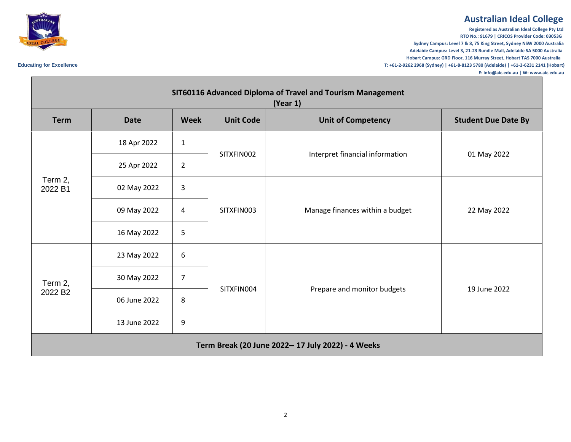## **Australian Ideal College**

**Registered as Australian Ideal College Pty Ltd RTO No.: 91679 | CRICOS Provider Code: 03053G Sydney Campus: Level 7 & 8, 75 King Street, Sydney NSW 2000 Australia Adelaide Campus: Level 3, 21-23 Rundle Mall, Adelaide SA 5000 Australia Hobart Campus: GRD Floor, 116 Murray Street, Hobart TAS 7000 Australia Educating for Excellence T: +61-2-9262 2968 (Sydney) | +61-8-8123 5780 (Adelaide) | +61-3-6231 2141 (Hobart) E: info@aic.edu.au | W: www.aic.edu.au**



| SIT60116 Advanced Diploma of Travel and Tourism Management<br>(Year 1) |              |                |                  |                                 |                            |  |  |  |
|------------------------------------------------------------------------|--------------|----------------|------------------|---------------------------------|----------------------------|--|--|--|
| <b>Term</b>                                                            | <b>Date</b>  | <b>Week</b>    | <b>Unit Code</b> | <b>Unit of Competency</b>       | <b>Student Due Date By</b> |  |  |  |
| Term 2,<br>2022 B1                                                     | 18 Apr 2022  | $\mathbf{1}$   | SITXFIN002       | Interpret financial information | 01 May 2022                |  |  |  |
|                                                                        | 25 Apr 2022  | $\overline{2}$ |                  |                                 |                            |  |  |  |
|                                                                        | 02 May 2022  | 3              | SITXFIN003       | Manage finances within a budget | 22 May 2022                |  |  |  |
|                                                                        | 09 May 2022  | 4              |                  |                                 |                            |  |  |  |
|                                                                        | 16 May 2022  | 5              |                  |                                 |                            |  |  |  |
| Term 2,<br>2022 B <sub>2</sub>                                         | 23 May 2022  | 6              | SITXFIN004       | Prepare and monitor budgets     | 19 June 2022               |  |  |  |
|                                                                        | 30 May 2022  | $\overline{7}$ |                  |                                 |                            |  |  |  |
|                                                                        | 06 June 2022 | 8              |                  |                                 |                            |  |  |  |
|                                                                        | 13 June 2022 | 9              |                  |                                 |                            |  |  |  |
| Term Break (20 June 2022- 17 July 2022) - 4 Weeks                      |              |                |                  |                                 |                            |  |  |  |